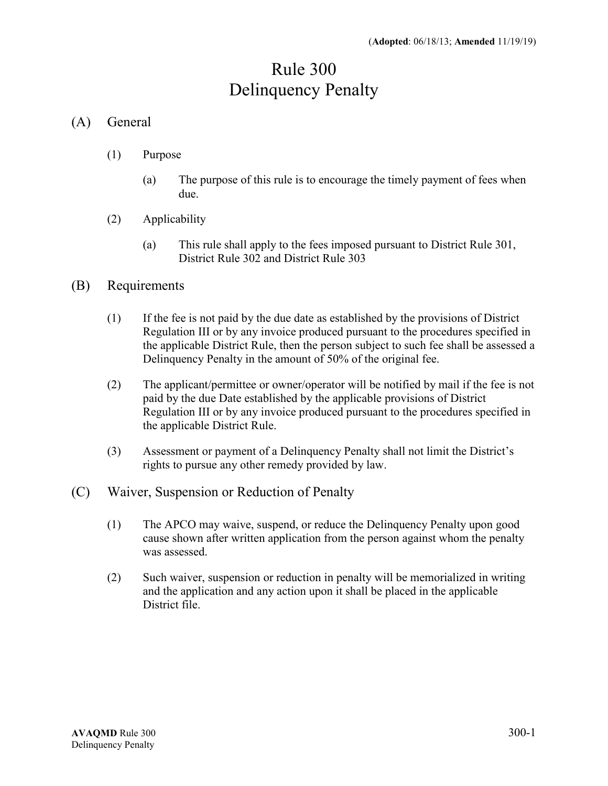## Rule 300 Delinquency Penalty

## (A) General

- (1) Purpose
	- (a) The purpose of this rule is to encourage the timely payment of fees when due.
- (2) Applicability
	- (a) This rule shall apply to the fees imposed pursuant to District Rule 301, District Rule 302 and District Rule 303

## (B) Requirements

- (1) If the fee is not paid by the due date as established by the provisions of District Regulation III or by any invoice produced pursuant to the procedures specified in the applicable District Rule, then the person subject to such fee shall be assessed a Delinquency Penalty in the amount of 50% of the original fee.
- (2) The applicant/permittee or owner/operator will be notified by mail if the fee is not paid by the due Date established by the applicable provisions of District Regulation III or by any invoice produced pursuant to the procedures specified in the applicable District Rule.
- (3) Assessment or payment of a Delinquency Penalty shall not limit the District's rights to pursue any other remedy provided by law.
- (C) Waiver, Suspension or Reduction of Penalty
	- (1) The APCO may waive, suspend, or reduce the Delinquency Penalty upon good cause shown after written application from the person against whom the penalty was assessed.
	- (2) Such waiver, suspension or reduction in penalty will be memorialized in writing and the application and any action upon it shall be placed in the applicable District file.